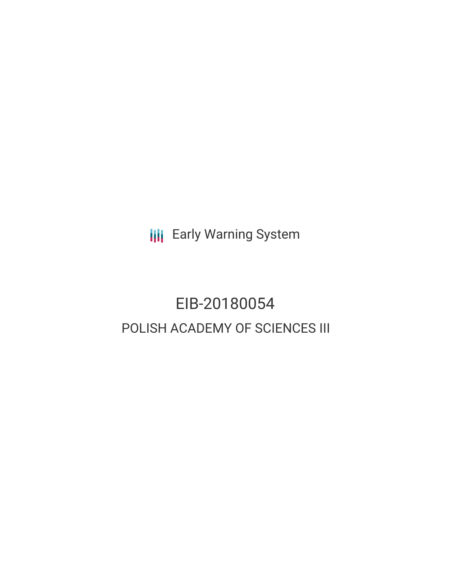**III** Early Warning System

# EIB-20180054 POLISH ACADEMY OF SCIENCES III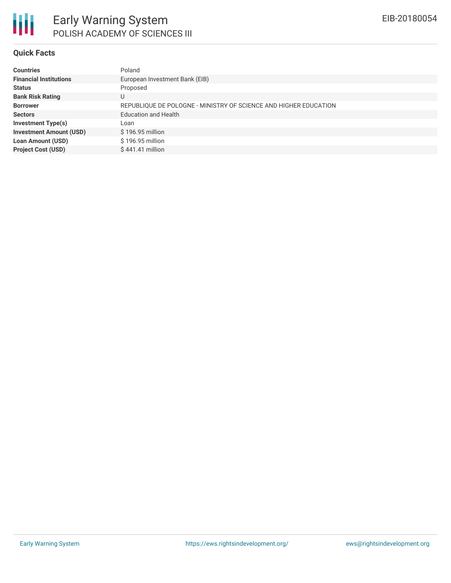

#### **Quick Facts**

| Poland                                                           |
|------------------------------------------------------------------|
| European Investment Bank (EIB)                                   |
| Proposed                                                         |
| U                                                                |
| REPUBLIQUE DE POLOGNE - MINISTRY OF SCIENCE AND HIGHER EDUCATION |
| <b>Education and Health</b>                                      |
| Loan                                                             |
| \$196.95 million                                                 |
| \$196.95 million                                                 |
| \$441.41 million                                                 |
|                                                                  |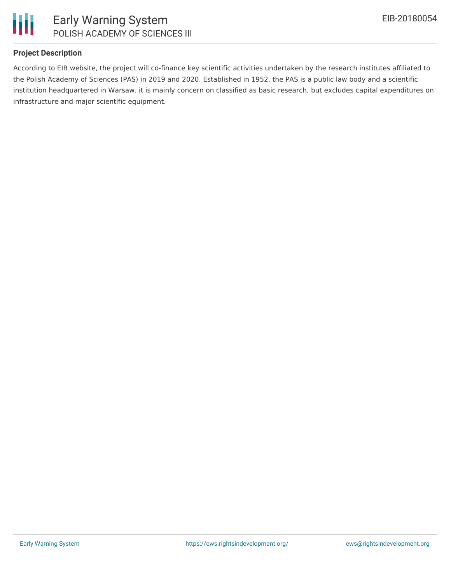

## **Project Description**

According to EIB website, the project will co-finance key scientific activities undertaken by the research institutes affiliated to the Polish Academy of Sciences (PAS) in 2019 and 2020. Established in 1952, the PAS is a public law body and a scientific institution headquartered in Warsaw. it is mainly concern on classified as basic research, but excludes capital expenditures on infrastructure and major scientific equipment.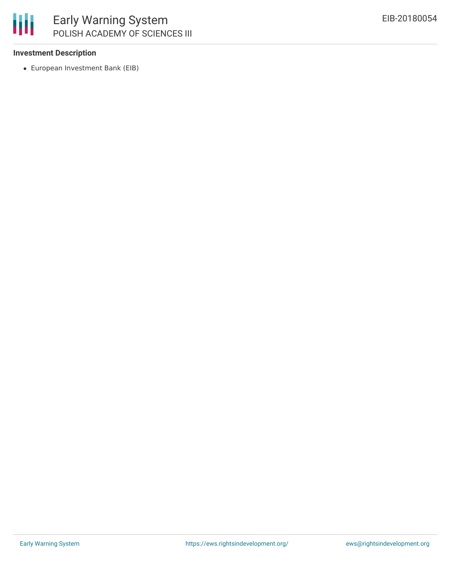

### **Investment Description**

European Investment Bank (EIB)